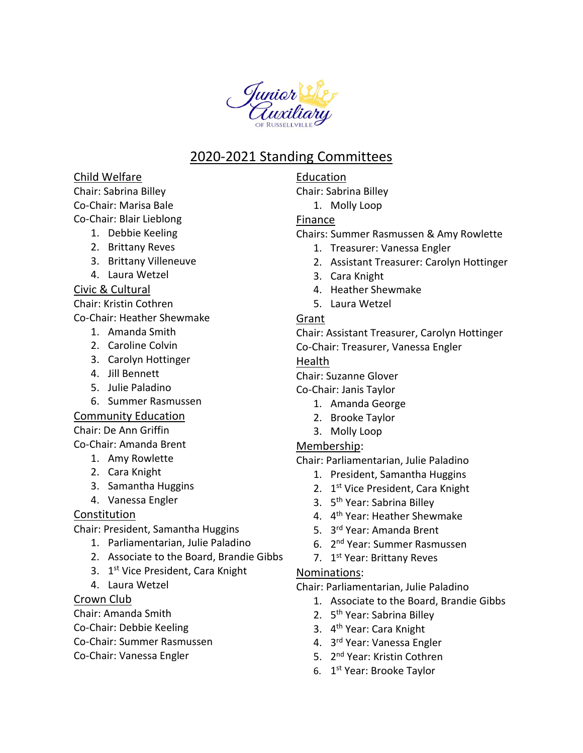

## 2020-2021 Standing Committees

#### Child Welfare

Chair: Sabrina Billey

Co-Chair: Marisa Bale

Co-Chair: Blair Lieblong

- 1. Debbie Keeling
- 2. Brittany Reves
- 3. Brittany Villeneuve
- 4. Laura Wetzel

#### Civic & Cultural

Chair: Kristin Cothren

Co-Chair: Heather Shewmake

- 1. Amanda Smith
- 2. Caroline Colvin
- 3. Carolyn Hottinger
- 4. Jill Bennett
- 5. Julie Paladino
- 6. Summer Rasmussen

#### Community Education

Chair: De Ann Griffin

Co-Chair: Amanda Brent

- 1. Amy Rowlette
- 2. Cara Knight
- 3. Samantha Huggins
- 4. Vanessa Engler

### Constitution

Chair: President, Samantha Huggins

- 1. Parliamentarian, Julie Paladino
- 2. Associate to the Board, Brandie Gibbs
- 3. 1<sup>st</sup> Vice President, Cara Knight
- 4. Laura Wetzel

#### Crown Club

Chair: Amanda Smith

- Co-Chair: Debbie Keeling
- Co-Chair: Summer Rasmussen
- Co-Chair: Vanessa Engler

#### Education Chair: Sabrina Billey

1. Molly Loop

## Finance

- Chairs: Summer Rasmussen & Amy Rowlette
	- 1. Treasurer: Vanessa Engler
	- 2. Assistant Treasurer: Carolyn Hottinger
	- 3. Cara Knight
	- 4. Heather Shewmake
	- 5. Laura Wetzel

#### Grant

Chair: Assistant Treasurer, Carolyn Hottinger Co-Chair: Treasurer, Vanessa Engler

# Health

Chair: Suzanne Glover

Co-Chair: Janis Taylor

- 1. Amanda George
- 2. Brooke Taylor
- 3. Molly Loop

### Membership:

Chair: Parliamentarian, Julie Paladino

- 1. President, Samantha Huggins
- 2. 1st Vice President, Cara Knight
- 3. 5<sup>th</sup> Year: Sabrina Billey
- 4. 4<sup>th</sup> Year: Heather Shewmake
- 5. 3 rd Year: Amanda Brent
- 6. 2<sup>nd</sup> Year: Summer Rasmussen
- 7. 1<sup>st</sup> Year: Brittany Reves

#### Nominations:

Chair: Parliamentarian, Julie Paladino

- 1. Associate to the Board, Brandie Gibbs
- 2. 5<sup>th</sup> Year: Sabrina Billey
- 3. 4<sup>th</sup> Year: Cara Knight
- 4. 3 rd Year: Vanessa Engler
- 5. 2<sup>nd</sup> Year: Kristin Cothren
- 6. 1<sup>st</sup> Year: Brooke Taylor